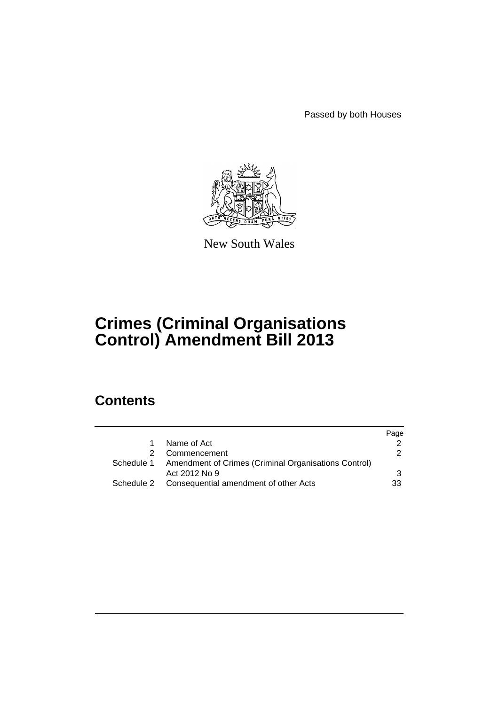Passed by both Houses



New South Wales

# **Crimes (Criminal Organisations Control) Amendment Bill 2013**

# **Contents**

|            |                                                                 | Page          |
|------------|-----------------------------------------------------------------|---------------|
|            | Name of Act                                                     |               |
|            | 2 Commencement                                                  | $\mathcal{P}$ |
|            | Schedule 1 Amendment of Crimes (Criminal Organisations Control) |               |
|            | Act 2012 No 9                                                   | 3             |
| Schedule 2 | Consequential amendment of other Acts                           | 33            |
|            |                                                                 |               |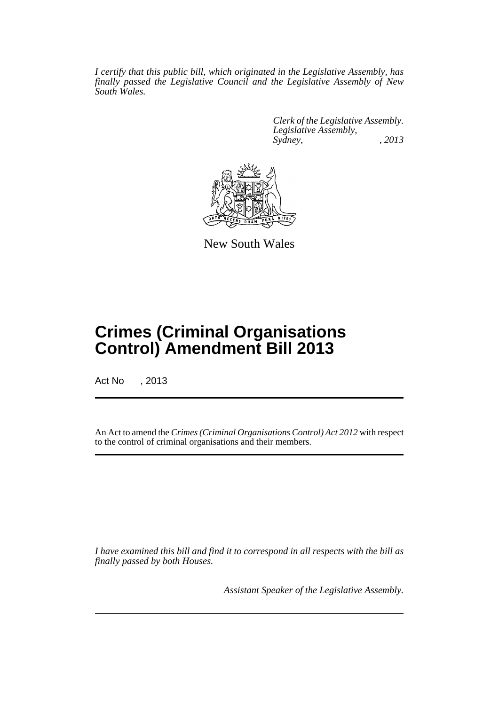*I certify that this public bill, which originated in the Legislative Assembly, has finally passed the Legislative Council and the Legislative Assembly of New South Wales.*

> *Clerk of the Legislative Assembly. Legislative Assembly, Sydney, , 2013*



New South Wales

# **Crimes (Criminal Organisations Control) Amendment Bill 2013**

Act No , 2013

An Act to amend the *Crimes (Criminal Organisations Control) Act 2012* with respect to the control of criminal organisations and their members.

*I have examined this bill and find it to correspond in all respects with the bill as finally passed by both Houses.*

*Assistant Speaker of the Legislative Assembly.*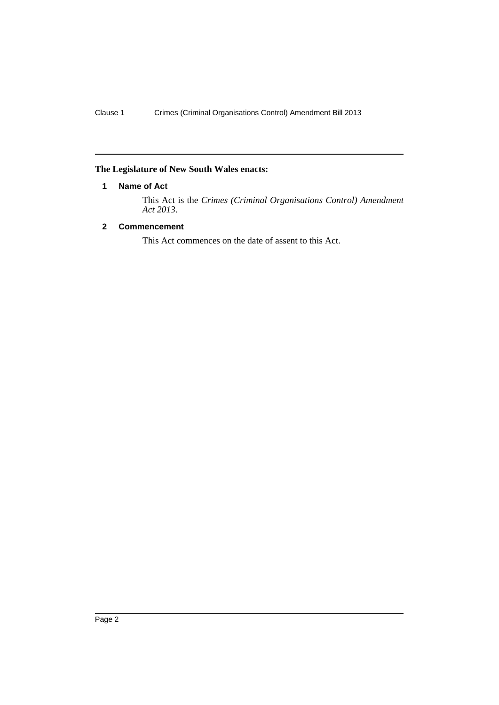## <span id="page-3-0"></span>**The Legislature of New South Wales enacts:**

## **1 Name of Act**

This Act is the *Crimes (Criminal Organisations Control) Amendment Act 2013*.

## <span id="page-3-1"></span>**2 Commencement**

This Act commences on the date of assent to this Act.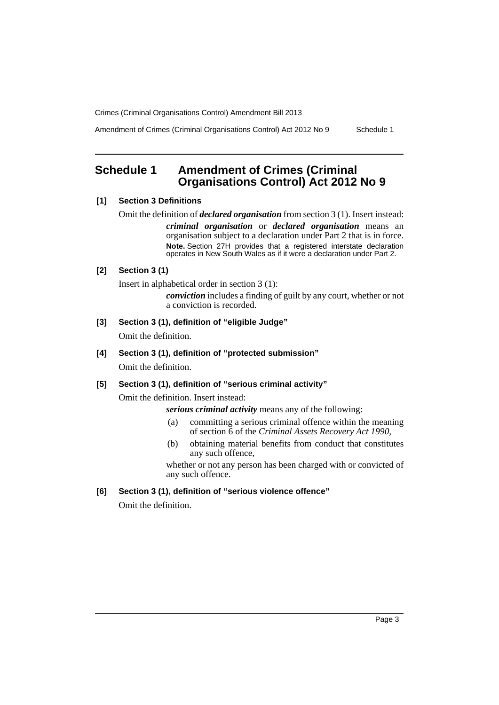Amendment of Crimes (Criminal Organisations Control) Act 2012 No 9 Schedule 1

# <span id="page-4-0"></span>**Schedule 1 Amendment of Crimes (Criminal Organisations Control) Act 2012 No 9**

## **[1] Section 3 Definitions**

Omit the definition of *declared organisation* from section 3 (1). Insert instead: *criminal organisation* or *declared organisation* means an organisation subject to a declaration under Part 2 that is in force. **Note.** Section 27H provides that a registered interstate declaration operates in New South Wales as if it were a declaration under Part 2.

## **[2] Section 3 (1)**

Insert in alphabetical order in section 3 (1):

*conviction* includes a finding of guilt by any court, whether or not a conviction is recorded.

**[3] Section 3 (1), definition of "eligible Judge"**

Omit the definition.

**[4] Section 3 (1), definition of "protected submission"**

Omit the definition.

## **[5] Section 3 (1), definition of "serious criminal activity"**

Omit the definition. Insert instead:

*serious criminal activity* means any of the following:

- (a) committing a serious criminal offence within the meaning of section 6 of the *Criminal Assets Recovery Act 1990*,
- (b) obtaining material benefits from conduct that constitutes any such offence,

whether or not any person has been charged with or convicted of any such offence.

**[6] Section 3 (1), definition of "serious violence offence"**

Omit the definition.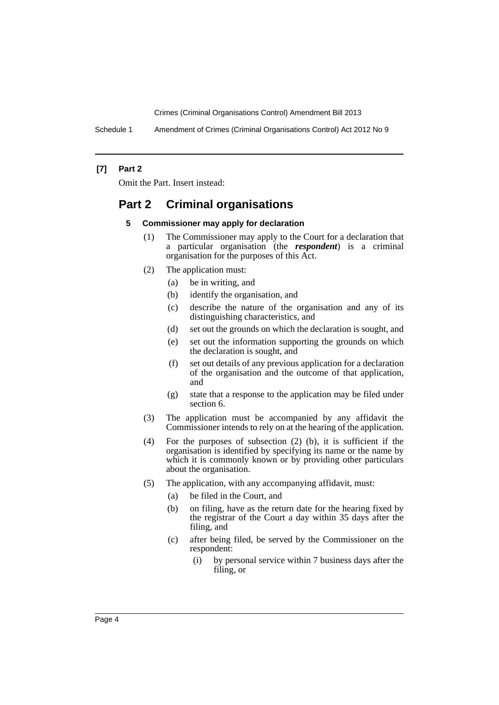Schedule 1 Amendment of Crimes (Criminal Organisations Control) Act 2012 No 9

## **[7] Part 2**

Omit the Part. Insert instead:

## **Part 2 Criminal organisations**

#### **5 Commissioner may apply for declaration**

- (1) The Commissioner may apply to the Court for a declaration that a particular organisation (the *respondent*) is a criminal organisation for the purposes of this Act.
- (2) The application must:
	- (a) be in writing, and
	- (b) identify the organisation, and
	- (c) describe the nature of the organisation and any of its distinguishing characteristics, and
	- (d) set out the grounds on which the declaration is sought, and
	- (e) set out the information supporting the grounds on which the declaration is sought, and
	- (f) set out details of any previous application for a declaration of the organisation and the outcome of that application, and
	- (g) state that a response to the application may be filed under section 6.
- (3) The application must be accompanied by any affidavit the Commissioner intends to rely on at the hearing of the application.
- (4) For the purposes of subsection (2) (b), it is sufficient if the organisation is identified by specifying its name or the name by which it is commonly known or by providing other particulars about the organisation.
- (5) The application, with any accompanying affidavit, must:
	- (a) be filed in the Court, and
	- (b) on filing, have as the return date for the hearing fixed by the registrar of the Court a day within 35 days after the filing, and
	- (c) after being filed, be served by the Commissioner on the respondent:
		- (i) by personal service within 7 business days after the filing, or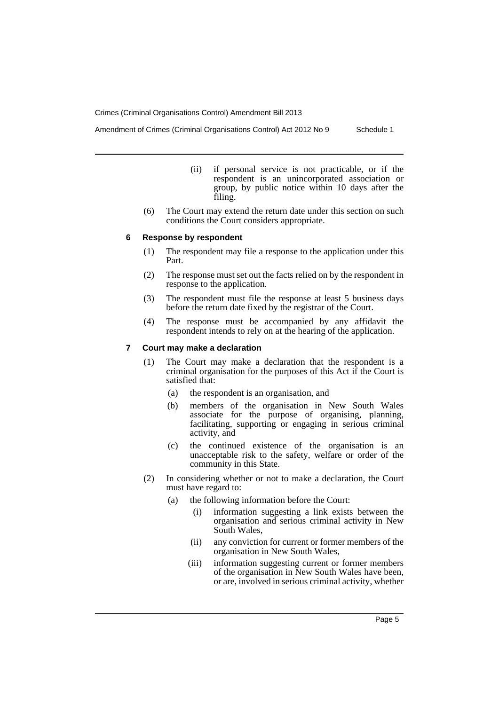Amendment of Crimes (Criminal Organisations Control) Act 2012 No 9 Schedule 1

- (ii) if personal service is not practicable, or if the respondent is an unincorporated association or group, by public notice within 10 days after the filing.
- (6) The Court may extend the return date under this section on such conditions the Court considers appropriate.

#### **6 Response by respondent**

- (1) The respondent may file a response to the application under this Part.
- (2) The response must set out the facts relied on by the respondent in response to the application.
- (3) The respondent must file the response at least 5 business days before the return date fixed by the registrar of the Court.
- (4) The response must be accompanied by any affidavit the respondent intends to rely on at the hearing of the application.

#### **7 Court may make a declaration**

- (1) The Court may make a declaration that the respondent is a criminal organisation for the purposes of this Act if the Court is satisfied that:
	- (a) the respondent is an organisation, and
	- (b) members of the organisation in New South Wales associate for the purpose of organising, planning, facilitating, supporting or engaging in serious criminal activity, and
	- (c) the continued existence of the organisation is an unacceptable risk to the safety, welfare or order of the community in this State.
- (2) In considering whether or not to make a declaration, the Court must have regard to:
	- (a) the following information before the Court:
		- (i) information suggesting a link exists between the organisation and serious criminal activity in New South Wales,
		- (ii) any conviction for current or former members of the organisation in New South Wales,
		- (iii) information suggesting current or former members of the organisation in New South Wales have been, or are, involved in serious criminal activity, whether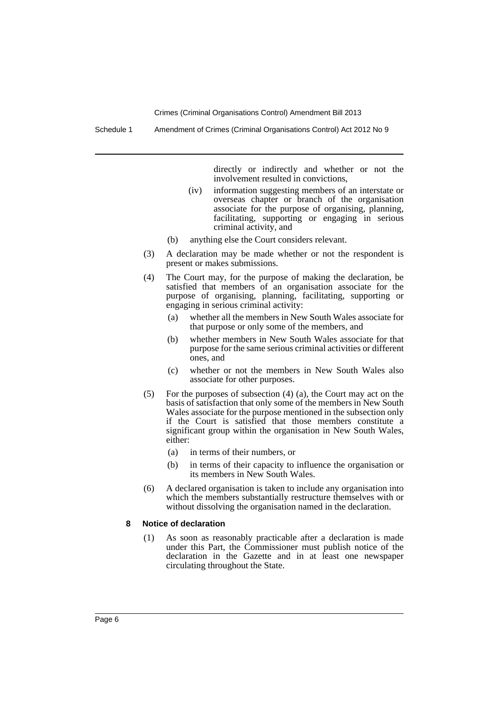Schedule 1 Amendment of Crimes (Criminal Organisations Control) Act 2012 No 9

directly or indirectly and whether or not the involvement resulted in convictions,

- (iv) information suggesting members of an interstate or overseas chapter or branch of the organisation associate for the purpose of organising, planning, facilitating, supporting or engaging in serious criminal activity, and
- (b) anything else the Court considers relevant.
- (3) A declaration may be made whether or not the respondent is present or makes submissions.
- (4) The Court may, for the purpose of making the declaration, be satisfied that members of an organisation associate for the purpose of organising, planning, facilitating, supporting or engaging in serious criminal activity:
	- (a) whether all the members in New South Wales associate for that purpose or only some of the members, and
	- (b) whether members in New South Wales associate for that purpose for the same serious criminal activities or different ones, and
	- (c) whether or not the members in New South Wales also associate for other purposes.
- (5) For the purposes of subsection (4) (a), the Court may act on the basis of satisfaction that only some of the members in New South Wales associate for the purpose mentioned in the subsection only if the Court is satisfied that those members constitute a significant group within the organisation in New South Wales, either:
	- (a) in terms of their numbers, or
	- (b) in terms of their capacity to influence the organisation or its members in New South Wales.
- (6) A declared organisation is taken to include any organisation into which the members substantially restructure themselves with or without dissolving the organisation named in the declaration.

#### **8 Notice of declaration**

(1) As soon as reasonably practicable after a declaration is made under this Part, the Commissioner must publish notice of the declaration in the Gazette and in at least one newspaper circulating throughout the State.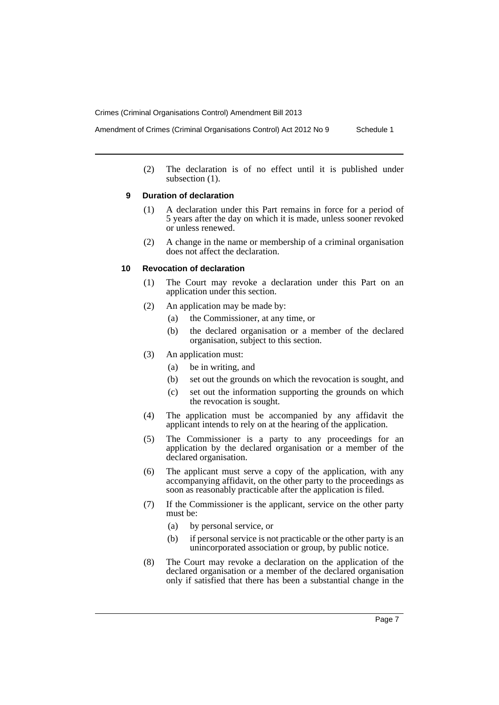Amendment of Crimes (Criminal Organisations Control) Act 2012 No 9 Schedule 1

(2) The declaration is of no effect until it is published under subsection  $(1)$ .

## **9 Duration of declaration**

- (1) A declaration under this Part remains in force for a period of 5 years after the day on which it is made, unless sooner revoked or unless renewed.
- (2) A change in the name or membership of a criminal organisation does not affect the declaration.

## **10 Revocation of declaration**

- (1) The Court may revoke a declaration under this Part on an application under this section.
- (2) An application may be made by:
	- (a) the Commissioner, at any time, or
	- (b) the declared organisation or a member of the declared organisation, subject to this section.
- (3) An application must:
	- (a) be in writing, and
	- (b) set out the grounds on which the revocation is sought, and
	- (c) set out the information supporting the grounds on which the revocation is sought.
- (4) The application must be accompanied by any affidavit the applicant intends to rely on at the hearing of the application.
- (5) The Commissioner is a party to any proceedings for an application by the declared organisation or a member of the declared organisation.
- (6) The applicant must serve a copy of the application, with any accompanying affidavit, on the other party to the proceedings as soon as reasonably practicable after the application is filed.
- (7) If the Commissioner is the applicant, service on the other party must be:
	- (a) by personal service, or
	- (b) if personal service is not practicable or the other party is an unincorporated association or group, by public notice.
- (8) The Court may revoke a declaration on the application of the declared organisation or a member of the declared organisation only if satisfied that there has been a substantial change in the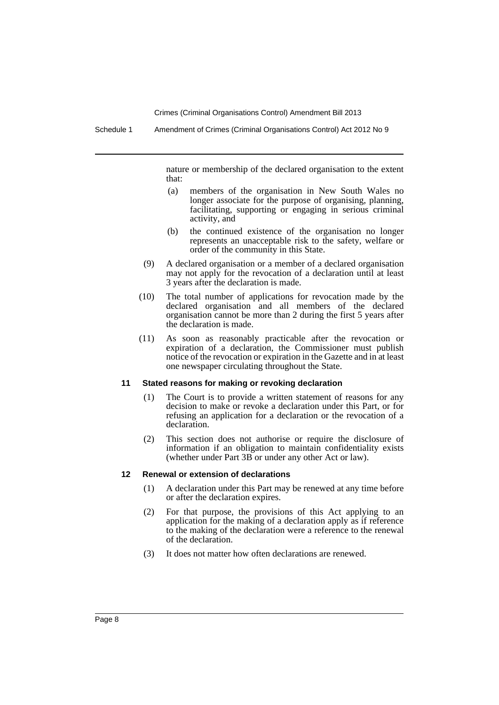nature or membership of the declared organisation to the extent that:

- (a) members of the organisation in New South Wales no longer associate for the purpose of organising, planning, facilitating, supporting or engaging in serious criminal activity, and
- (b) the continued existence of the organisation no longer represents an unacceptable risk to the safety, welfare or order of the community in this State.
- (9) A declared organisation or a member of a declared organisation may not apply for the revocation of a declaration until at least 3 years after the declaration is made.
- (10) The total number of applications for revocation made by the declared organisation and all members of the declared organisation cannot be more than 2 during the first 5 years after the declaration is made.
- (11) As soon as reasonably practicable after the revocation or expiration of a declaration, the Commissioner must publish notice of the revocation or expiration in the Gazette and in at least one newspaper circulating throughout the State.

#### **11 Stated reasons for making or revoking declaration**

- (1) The Court is to provide a written statement of reasons for any decision to make or revoke a declaration under this Part, or for refusing an application for a declaration or the revocation of a declaration.
- (2) This section does not authorise or require the disclosure of information if an obligation to maintain confidentiality exists (whether under Part 3B or under any other Act or law).

#### **12 Renewal or extension of declarations**

- (1) A declaration under this Part may be renewed at any time before or after the declaration expires.
- (2) For that purpose, the provisions of this Act applying to an application for the making of a declaration apply as if reference to the making of the declaration were a reference to the renewal of the declaration.
- (3) It does not matter how often declarations are renewed.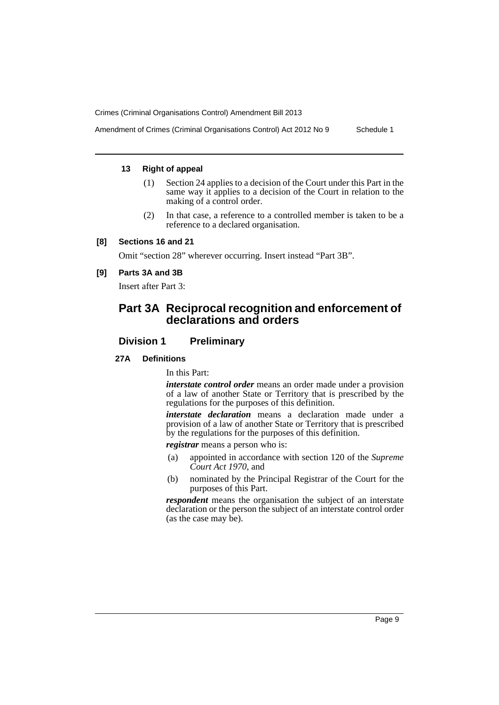Amendment of Crimes (Criminal Organisations Control) Act 2012 No 9 Schedule 1

## **13 Right of appeal**

- (1) Section 24 applies to a decision of the Court under this Part in the same way it applies to a decision of the Court in relation to the making of a control order.
- (2) In that case, a reference to a controlled member is taken to be a reference to a declared organisation.

## **[8] Sections 16 and 21**

Omit "section 28" wherever occurring. Insert instead "Part 3B".

## **[9] Parts 3A and 3B**

Insert after Part 3:

# **Part 3A Reciprocal recognition and enforcement of declarations and orders**

## **Division 1 Preliminary**

## **27A Definitions**

In this Part:

*interstate control order* means an order made under a provision of a law of another State or Territory that is prescribed by the regulations for the purposes of this definition.

*interstate declaration* means a declaration made under a provision of a law of another State or Territory that is prescribed by the regulations for the purposes of this definition.

*registrar* means a person who is:

- (a) appointed in accordance with section 120 of the *Supreme Court Act 1970*, and
- (b) nominated by the Principal Registrar of the Court for the purposes of this Part.

*respondent* means the organisation the subject of an interstate declaration or the person the subject of an interstate control order (as the case may be).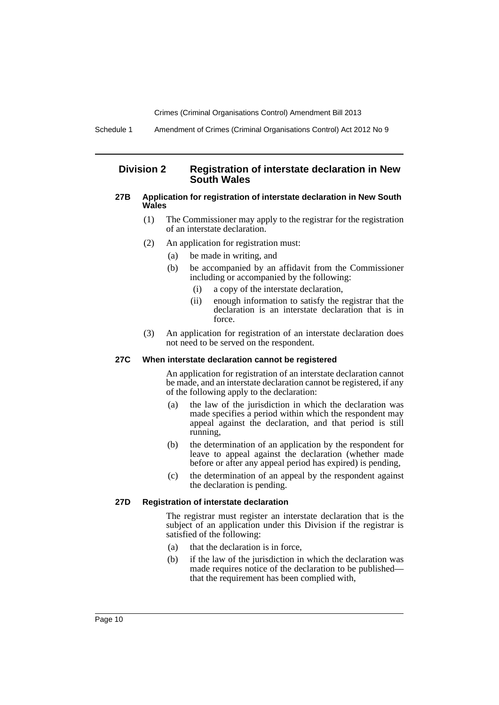## **Division 2 Registration of interstate declaration in New South Wales**

#### **27B Application for registration of interstate declaration in New South Wales**

- (1) The Commissioner may apply to the registrar for the registration of an interstate declaration.
- (2) An application for registration must:
	- (a) be made in writing, and
	- (b) be accompanied by an affidavit from the Commissioner including or accompanied by the following:
		- (i) a copy of the interstate declaration,
		- (ii) enough information to satisfy the registrar that the declaration is an interstate declaration that is in force.
- (3) An application for registration of an interstate declaration does not need to be served on the respondent.

#### **27C When interstate declaration cannot be registered**

An application for registration of an interstate declaration cannot be made, and an interstate declaration cannot be registered, if any of the following apply to the declaration:

- (a) the law of the jurisdiction in which the declaration was made specifies a period within which the respondent may appeal against the declaration, and that period is still running,
- (b) the determination of an application by the respondent for leave to appeal against the declaration (whether made before or after any appeal period has expired) is pending,
- (c) the determination of an appeal by the respondent against the declaration is pending.

#### **27D Registration of interstate declaration**

The registrar must register an interstate declaration that is the subject of an application under this Division if the registrar is satisfied of the following:

- (a) that the declaration is in force,
- (b) if the law of the jurisdiction in which the declaration was made requires notice of the declaration to be published that the requirement has been complied with,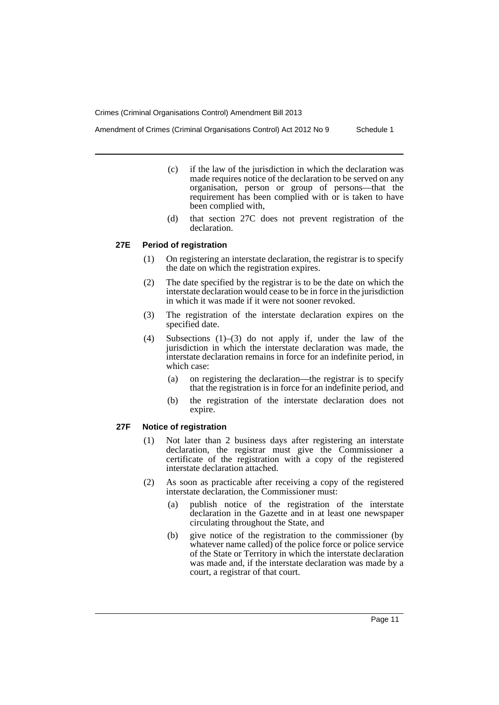Amendment of Crimes (Criminal Organisations Control) Act 2012 No 9 Schedule 1

- (c) if the law of the jurisdiction in which the declaration was made requires notice of the declaration to be served on any organisation, person or group of persons—that the requirement has been complied with or is taken to have been complied with,
- (d) that section 27C does not prevent registration of the declaration.

#### **27E Period of registration**

- (1) On registering an interstate declaration, the registrar is to specify the date on which the registration expires.
- (2) The date specified by the registrar is to be the date on which the interstate declaration would cease to be in force in the jurisdiction in which it was made if it were not sooner revoked.
- (3) The registration of the interstate declaration expires on the specified date.
- (4) Subsections (1)–(3) do not apply if, under the law of the jurisdiction in which the interstate declaration was made, the interstate declaration remains in force for an indefinite period, in which case:
	- (a) on registering the declaration—the registrar is to specify that the registration is in force for an indefinite period, and
	- (b) the registration of the interstate declaration does not expire.

## **27F Notice of registration**

- (1) Not later than 2 business days after registering an interstate declaration, the registrar must give the Commissioner a certificate of the registration with a copy of the registered interstate declaration attached.
- (2) As soon as practicable after receiving a copy of the registered interstate declaration, the Commissioner must:
	- (a) publish notice of the registration of the interstate declaration in the Gazette and in at least one newspaper circulating throughout the State, and
	- (b) give notice of the registration to the commissioner (by whatever name called) of the police force or police service of the State or Territory in which the interstate declaration was made and, if the interstate declaration was made by a court, a registrar of that court.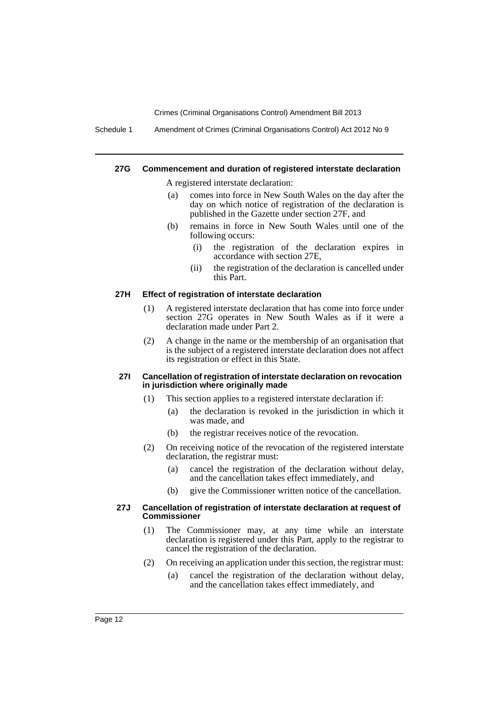Schedule 1 Amendment of Crimes (Criminal Organisations Control) Act 2012 No 9

#### **27G Commencement and duration of registered interstate declaration**

A registered interstate declaration:

- (a) comes into force in New South Wales on the day after the day on which notice of registration of the declaration is published in the Gazette under section 27F, and
- (b) remains in force in New South Wales until one of the following occurs:
	- (i) the registration of the declaration expires in accordance with section 27E,
	- (ii) the registration of the declaration is cancelled under this Part.

#### **27H Effect of registration of interstate declaration**

- (1) A registered interstate declaration that has come into force under section 27G operates in New South Wales as if it were a declaration made under Part 2.
- (2) A change in the name or the membership of an organisation that is the subject of a registered interstate declaration does not affect its registration or effect in this State.

#### **27I Cancellation of registration of interstate declaration on revocation in jurisdiction where originally made**

- (1) This section applies to a registered interstate declaration if:
	- (a) the declaration is revoked in the jurisdiction in which it was made, and
	- (b) the registrar receives notice of the revocation.
- (2) On receiving notice of the revocation of the registered interstate declaration, the registrar must:
	- (a) cancel the registration of the declaration without delay, and the cancellation takes effect immediately, and
	- (b) give the Commissioner written notice of the cancellation.

#### **27J Cancellation of registration of interstate declaration at request of Commissioner**

- (1) The Commissioner may, at any time while an interstate declaration is registered under this Part, apply to the registrar to cancel the registration of the declaration.
- (2) On receiving an application under this section, the registrar must:
	- (a) cancel the registration of the declaration without delay, and the cancellation takes effect immediately, and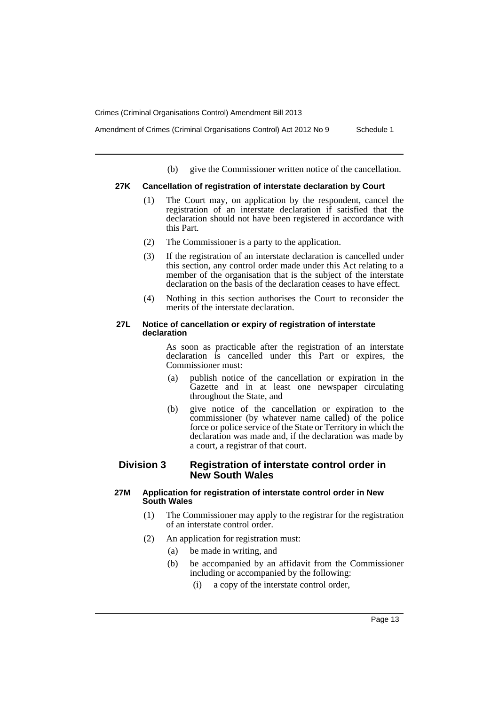Amendment of Crimes (Criminal Organisations Control) Act 2012 No 9 Schedule 1

(b) give the Commissioner written notice of the cancellation.

## **27K Cancellation of registration of interstate declaration by Court**

- (1) The Court may, on application by the respondent, cancel the registration of an interstate declaration if satisfied that the declaration should not have been registered in accordance with this Part.
- (2) The Commissioner is a party to the application.
- (3) If the registration of an interstate declaration is cancelled under this section, any control order made under this Act relating to a member of the organisation that is the subject of the interstate declaration on the basis of the declaration ceases to have effect.
- (4) Nothing in this section authorises the Court to reconsider the merits of the interstate declaration.

#### **27L Notice of cancellation or expiry of registration of interstate declaration**

As soon as practicable after the registration of an interstate declaration is cancelled under this Part or expires, the Commissioner must:

- (a) publish notice of the cancellation or expiration in the Gazette and in at least one newspaper circulating throughout the State, and
- (b) give notice of the cancellation or expiration to the commissioner (by whatever name called) of the police force or police service of the State or Territory in which the declaration was made and, if the declaration was made by a court, a registrar of that court.

## **Division 3 Registration of interstate control order in New South Wales**

## **27M Application for registration of interstate control order in New South Wales**

- (1) The Commissioner may apply to the registrar for the registration of an interstate control order.
- (2) An application for registration must:
	- (a) be made in writing, and
	- (b) be accompanied by an affidavit from the Commissioner including or accompanied by the following:
		- (i) a copy of the interstate control order,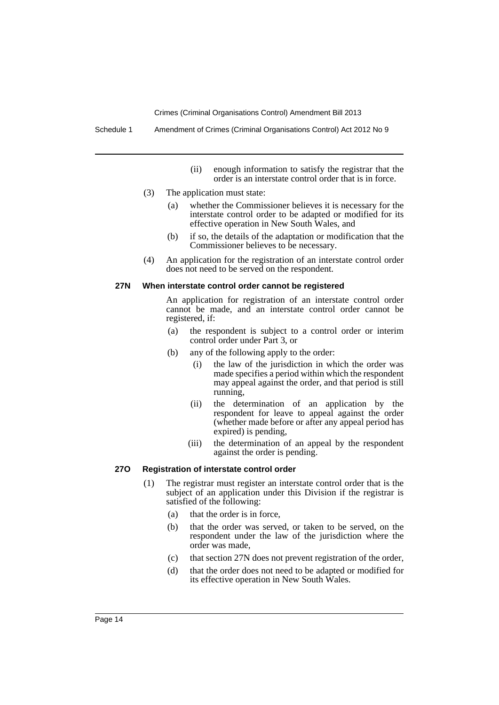Schedule 1 Amendment of Crimes (Criminal Organisations Control) Act 2012 No 9

- (ii) enough information to satisfy the registrar that the order is an interstate control order that is in force.
- (3) The application must state:
	- (a) whether the Commissioner believes it is necessary for the interstate control order to be adapted or modified for its effective operation in New South Wales, and
	- (b) if so, the details of the adaptation or modification that the Commissioner believes to be necessary.
- (4) An application for the registration of an interstate control order does not need to be served on the respondent.

#### **27N When interstate control order cannot be registered**

An application for registration of an interstate control order cannot be made, and an interstate control order cannot be registered, if:

- (a) the respondent is subject to a control order or interim control order under Part 3, or
- (b) any of the following apply to the order:
	- (i) the law of the jurisdiction in which the order was made specifies a period within which the respondent may appeal against the order, and that period is still running,
	- (ii) the determination of an application by the respondent for leave to appeal against the order (whether made before or after any appeal period has expired) is pending,
	- (iii) the determination of an appeal by the respondent against the order is pending.

#### **27O Registration of interstate control order**

- (1) The registrar must register an interstate control order that is the subject of an application under this Division if the registrar is satisfied of the following:
	- (a) that the order is in force,
	- (b) that the order was served, or taken to be served, on the respondent under the law of the jurisdiction where the order was made,
	- (c) that section 27N does not prevent registration of the order,
	- (d) that the order does not need to be adapted or modified for its effective operation in New South Wales.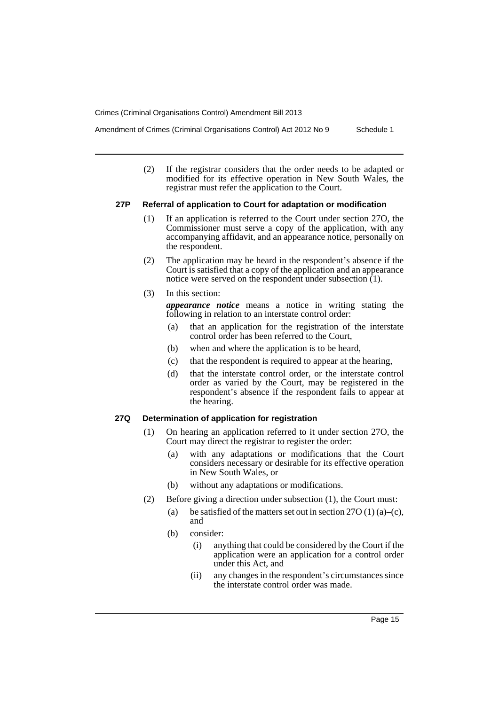Amendment of Crimes (Criminal Organisations Control) Act 2012 No 9 Schedule 1

(2) If the registrar considers that the order needs to be adapted or modified for its effective operation in New South Wales, the

## **27P Referral of application to Court for adaptation or modification**

registrar must refer the application to the Court.

- (1) If an application is referred to the Court under section 27O, the Commissioner must serve a copy of the application, with any accompanying affidavit, and an appearance notice, personally on the respondent.
- (2) The application may be heard in the respondent's absence if the Court is satisfied that a copy of the application and an appearance notice were served on the respondent under subsection (1).
- (3) In this section:

*appearance notice* means a notice in writing stating the following in relation to an interstate control order:

- (a) that an application for the registration of the interstate control order has been referred to the Court,
- (b) when and where the application is to be heard,
- (c) that the respondent is required to appear at the hearing,
- (d) that the interstate control order, or the interstate control order as varied by the Court, may be registered in the respondent's absence if the respondent fails to appear at the hearing.

#### **27Q Determination of application for registration**

- (1) On hearing an application referred to it under section 27O, the Court may direct the registrar to register the order:
	- (a) with any adaptations or modifications that the Court considers necessary or desirable for its effective operation in New South Wales, or
	- (b) without any adaptations or modifications.
- (2) Before giving a direction under subsection (1), the Court must:
	- (a) be satisfied of the matters set out in section  $27O(1)$  (a)–(c), and
	- (b) consider:
		- (i) anything that could be considered by the Court if the application were an application for a control order under this Act, and
		- (ii) any changes in the respondent's circumstances since the interstate control order was made.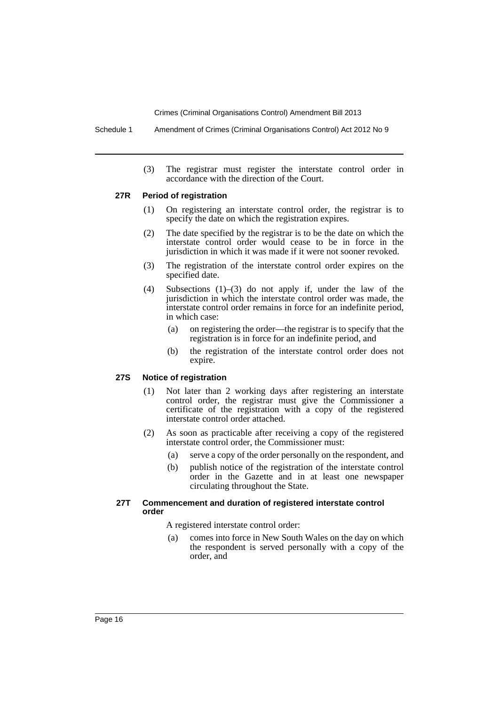Schedule 1 Amendment of Crimes (Criminal Organisations Control) Act 2012 No 9

(3) The registrar must register the interstate control order in accordance with the direction of the Court.

#### **27R Period of registration**

- (1) On registering an interstate control order, the registrar is to specify the date on which the registration expires.
- (2) The date specified by the registrar is to be the date on which the interstate control order would cease to be in force in the jurisdiction in which it was made if it were not sooner revoked.
- (3) The registration of the interstate control order expires on the specified date.
- (4) Subsections (1)–(3) do not apply if, under the law of the jurisdiction in which the interstate control order was made, the interstate control order remains in force for an indefinite period, in which case:
	- (a) on registering the order—the registrar is to specify that the registration is in force for an indefinite period, and
	- (b) the registration of the interstate control order does not expire.

#### **27S Notice of registration**

- (1) Not later than 2 working days after registering an interstate control order, the registrar must give the Commissioner a certificate of the registration with a copy of the registered interstate control order attached.
- (2) As soon as practicable after receiving a copy of the registered interstate control order, the Commissioner must:
	- (a) serve a copy of the order personally on the respondent, and
	- (b) publish notice of the registration of the interstate control order in the Gazette and in at least one newspaper circulating throughout the State.

#### **27T Commencement and duration of registered interstate control order**

A registered interstate control order:

(a) comes into force in New South Wales on the day on which the respondent is served personally with a copy of the order, and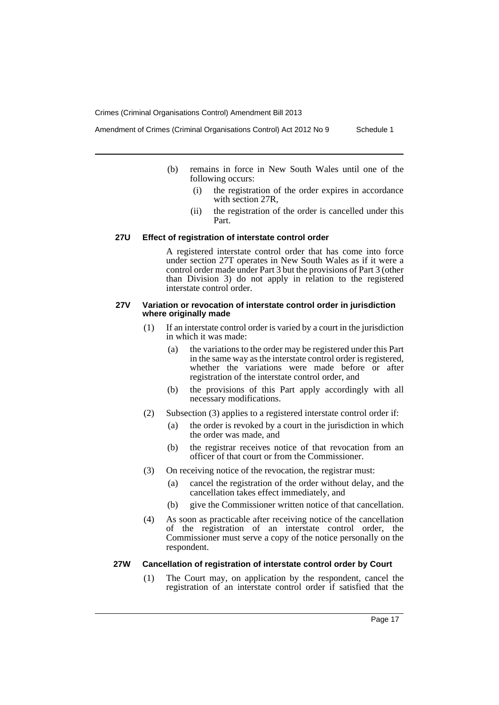- Amendment of Crimes (Criminal Organisations Control) Act 2012 No 9 Schedule 1
	- (b) remains in force in New South Wales until one of the following occurs:
		- (i) the registration of the order expires in accordance with section 27R,
		- (ii) the registration of the order is cancelled under this Part.

#### **27U Effect of registration of interstate control order**

A registered interstate control order that has come into force under section 27T operates in New South Wales as if it were a control order made under Part 3 but the provisions of Part 3 (other than Division 3) do not apply in relation to the registered interstate control order.

#### **27V Variation or revocation of interstate control order in jurisdiction where originally made**

- (1) If an interstate control order is varied by a court in the jurisdiction in which it was made:
	- (a) the variations to the order may be registered under this Part in the same way as the interstate control order is registered, whether the variations were made before or after registration of the interstate control order, and
	- (b) the provisions of this Part apply accordingly with all necessary modifications.
- (2) Subsection (3) applies to a registered interstate control order if:
	- (a) the order is revoked by a court in the jurisdiction in which the order was made, and
	- (b) the registrar receives notice of that revocation from an officer of that court or from the Commissioner.
- (3) On receiving notice of the revocation, the registrar must:
	- (a) cancel the registration of the order without delay, and the cancellation takes effect immediately, and
	- (b) give the Commissioner written notice of that cancellation.
- (4) As soon as practicable after receiving notice of the cancellation of the registration of an interstate control order, the Commissioner must serve a copy of the notice personally on the respondent.

## **27W Cancellation of registration of interstate control order by Court**

(1) The Court may, on application by the respondent, cancel the registration of an interstate control order if satisfied that the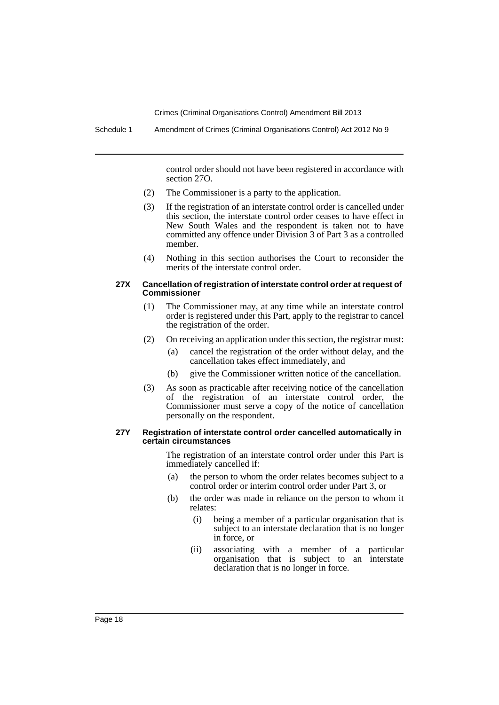control order should not have been registered in accordance with section 27O.

- (2) The Commissioner is a party to the application.
- (3) If the registration of an interstate control order is cancelled under this section, the interstate control order ceases to have effect in New South Wales and the respondent is taken not to have committed any offence under Division 3 of Part 3 as a controlled member.
- (4) Nothing in this section authorises the Court to reconsider the merits of the interstate control order.

#### **27X Cancellation of registration of interstate control order at request of Commissioner**

- (1) The Commissioner may, at any time while an interstate control order is registered under this Part, apply to the registrar to cancel the registration of the order.
- (2) On receiving an application under this section, the registrar must:
	- (a) cancel the registration of the order without delay, and the cancellation takes effect immediately, and
	- (b) give the Commissioner written notice of the cancellation.
- (3) As soon as practicable after receiving notice of the cancellation of the registration of an interstate control order, the Commissioner must serve a copy of the notice of cancellation personally on the respondent.

#### **27Y Registration of interstate control order cancelled automatically in certain circumstances**

The registration of an interstate control order under this Part is immediately cancelled if:

- (a) the person to whom the order relates becomes subject to a control order or interim control order under Part 3, or
- (b) the order was made in reliance on the person to whom it relates:
	- (i) being a member of a particular organisation that is subject to an interstate declaration that is no longer in force, or
	- (ii) associating with a member of a particular organisation that is subject to an interstate declaration that is no longer in force.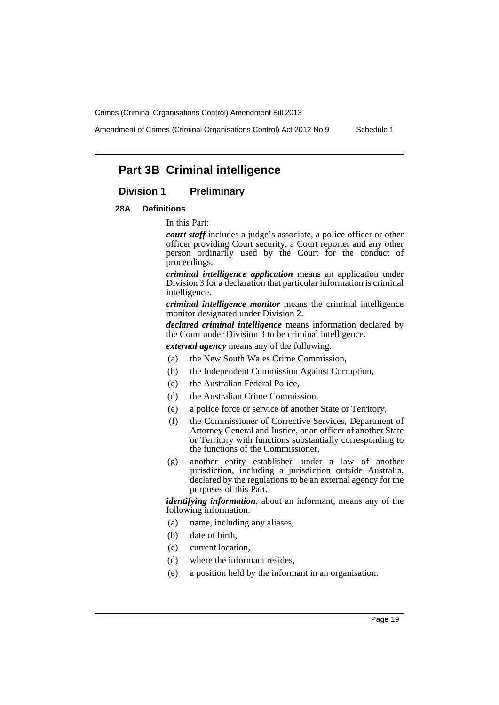Amendment of Crimes (Criminal Organisations Control) Act 2012 No 9 Schedule 1

# **Part 3B Criminal intelligence**

## **Division 1 Preliminary**

#### **28A Definitions**

In this Part:

*court staff* includes a judge's associate, a police officer or other officer providing Court security, a Court reporter and any other person ordinarily used by the Court for the conduct of proceedings.

*criminal intelligence application* means an application under Division 3 for a declaration that particular information is criminal intelligence.

*criminal intelligence monitor* means the criminal intelligence monitor designated under Division 2.

*declared criminal intelligence* means information declared by the Court under Division  $\overline{3}$  to be criminal intelligence.

*external agency* means any of the following:

- (a) the New South Wales Crime Commission,
- (b) the Independent Commission Against Corruption,
- (c) the Australian Federal Police,
- (d) the Australian Crime Commission,
- (e) a police force or service of another State or Territory,
- (f) the Commissioner of Corrective Services, Department of Attorney General and Justice, or an officer of another State or Territory with functions substantially corresponding to the functions of the Commissioner,
- (g) another entity established under a law of another jurisdiction, including a jurisdiction outside Australia, declared by the regulations to be an external agency for the purposes of this Part.

*identifying information*, about an informant, means any of the following information:

- (a) name, including any aliases,
- (b) date of birth,
- (c) current location,
- (d) where the informant resides,
- (e) a position held by the informant in an organisation.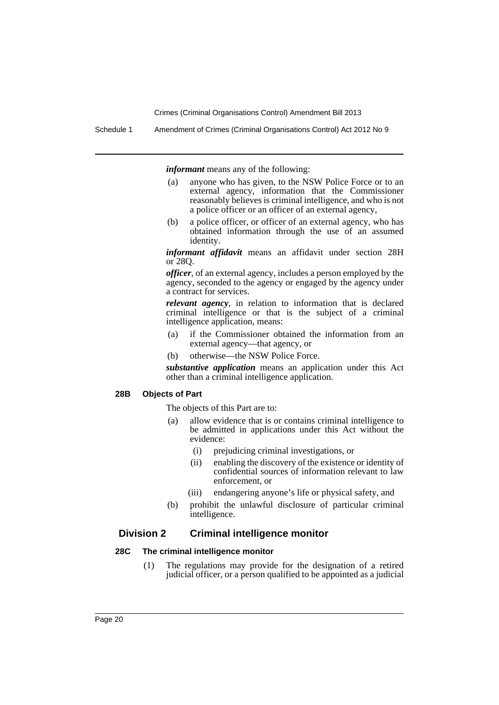Schedule 1 Amendment of Crimes (Criminal Organisations Control) Act 2012 No 9

*informant* means any of the following:

- (a) anyone who has given, to the NSW Police Force or to an external agency, information that the Commissioner reasonably believes is criminal intelligence, and who is not a police officer or an officer of an external agency,
- (b) a police officer, or officer of an external agency, who has obtained information through the use of an assumed identity.

*informant affidavit* means an affidavit under section 28H or 28Q.

*officer*, of an external agency, includes a person employed by the agency, seconded to the agency or engaged by the agency under a contract for services.

*relevant agency*, in relation to information that is declared criminal intelligence or that is the subject of a criminal intelligence application, means:

- (a) if the Commissioner obtained the information from an external agency—that agency, or
- (b) otherwise—the NSW Police Force.

*substantive application* means an application under this Act other than a criminal intelligence application.

#### **28B Objects of Part**

The objects of this Part are to:

- (a) allow evidence that is or contains criminal intelligence to be admitted in applications under this Act without the evidence:
	- (i) prejudicing criminal investigations, or
	- (ii) enabling the discovery of the existence or identity of confidential sources of information relevant to law enforcement, or
	- (iii) endangering anyone's life or physical safety, and
- (b) prohibit the unlawful disclosure of particular criminal intelligence.

## **Division 2 Criminal intelligence monitor**

#### **28C The criminal intelligence monitor**

(1) The regulations may provide for the designation of a retired judicial officer, or a person qualified to be appointed as a judicial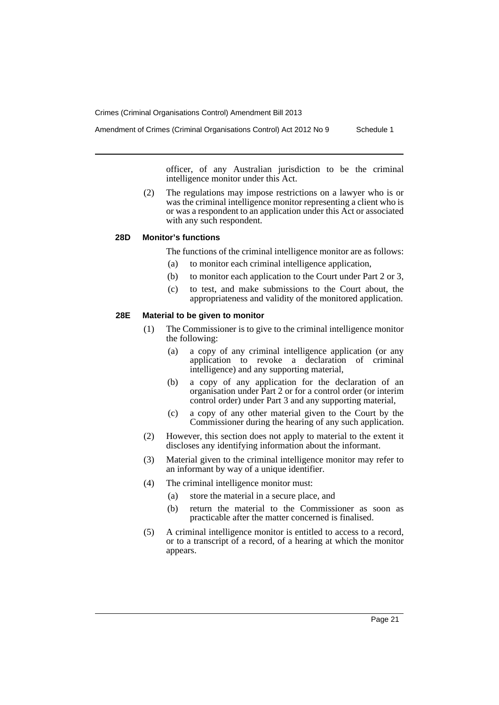intelligence monitor under this Act.

Amendment of Crimes (Criminal Organisations Control) Act 2012 No 9 Schedule 1

officer, of any Australian jurisdiction to be the criminal

(2) The regulations may impose restrictions on a lawyer who is or was the criminal intelligence monitor representing a client who is or was a respondent to an application under this Act or associated with any such respondent.

#### **28D Monitor's functions**

The functions of the criminal intelligence monitor are as follows:

- (a) to monitor each criminal intelligence application,
- (b) to monitor each application to the Court under Part 2 or 3,
- (c) to test, and make submissions to the Court about, the appropriateness and validity of the monitored application.

## **28E Material to be given to monitor**

- (1) The Commissioner is to give to the criminal intelligence monitor the following:
	- (a) a copy of any criminal intelligence application (or any application to revoke a declaration of criminal intelligence) and any supporting material,
	- (b) a copy of any application for the declaration of an organisation under Part 2 or for a control order (or interim control order) under Part 3 and any supporting material,
	- (c) a copy of any other material given to the Court by the Commissioner during the hearing of any such application.
- (2) However, this section does not apply to material to the extent it discloses any identifying information about the informant.
- (3) Material given to the criminal intelligence monitor may refer to an informant by way of a unique identifier.
- (4) The criminal intelligence monitor must:
	- (a) store the material in a secure place, and
	- (b) return the material to the Commissioner as soon as practicable after the matter concerned is finalised.
- (5) A criminal intelligence monitor is entitled to access to a record, or to a transcript of a record, of a hearing at which the monitor appears.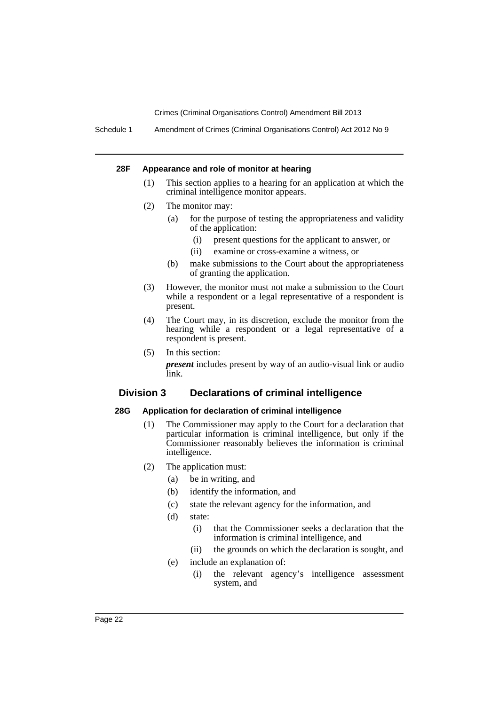Schedule 1 Amendment of Crimes (Criminal Organisations Control) Act 2012 No 9

#### **28F Appearance and role of monitor at hearing**

- (1) This section applies to a hearing for an application at which the criminal intelligence monitor appears.
- (2) The monitor may:
	- (a) for the purpose of testing the appropriateness and validity of the application:
		- (i) present questions for the applicant to answer, or
		- (ii) examine or cross-examine a witness, or
	- (b) make submissions to the Court about the appropriateness of granting the application.
- (3) However, the monitor must not make a submission to the Court while a respondent or a legal representative of a respondent is present.
- (4) The Court may, in its discretion, exclude the monitor from the hearing while a respondent or a legal representative of a respondent is present.
- (5) In this section: *present* includes present by way of an audio-visual link or audio link.

## **Division 3 Declarations of criminal intelligence**

## **28G Application for declaration of criminal intelligence**

- (1) The Commissioner may apply to the Court for a declaration that particular information is criminal intelligence, but only if the Commissioner reasonably believes the information is criminal intelligence.
- (2) The application must:
	- (a) be in writing, and
	- (b) identify the information, and
	- (c) state the relevant agency for the information, and
	- (d) state:
		- (i) that the Commissioner seeks a declaration that the information is criminal intelligence, and
		- (ii) the grounds on which the declaration is sought, and
	- (e) include an explanation of:
		- (i) the relevant agency's intelligence assessment system, and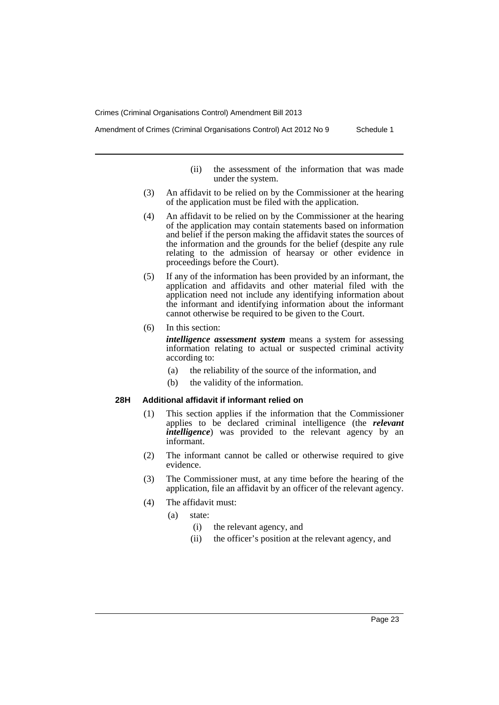Amendment of Crimes (Criminal Organisations Control) Act 2012 No 9 Schedule 1

- (ii) the assessment of the information that was made under the system.
- (3) An affidavit to be relied on by the Commissioner at the hearing of the application must be filed with the application.
- (4) An affidavit to be relied on by the Commissioner at the hearing of the application may contain statements based on information and belief if the person making the affidavit states the sources of the information and the grounds for the belief (despite any rule relating to the admission of hearsay or other evidence in proceedings before the Court).
- (5) If any of the information has been provided by an informant, the application and affidavits and other material filed with the application need not include any identifying information about the informant and identifying information about the informant cannot otherwise be required to be given to the Court.
- (6) In this section:

*intelligence assessment system* means a system for assessing information relating to actual or suspected criminal activity according to:

- (a) the reliability of the source of the information, and
- (b) the validity of the information.

## **28H Additional affidavit if informant relied on**

- (1) This section applies if the information that the Commissioner applies to be declared criminal intelligence (the *relevant intelligence*) was provided to the relevant agency by an informant.
- (2) The informant cannot be called or otherwise required to give evidence.
- (3) The Commissioner must, at any time before the hearing of the application, file an affidavit by an officer of the relevant agency.
- (4) The affidavit must:
	- (a) state:
		- (i) the relevant agency, and
		- (ii) the officer's position at the relevant agency, and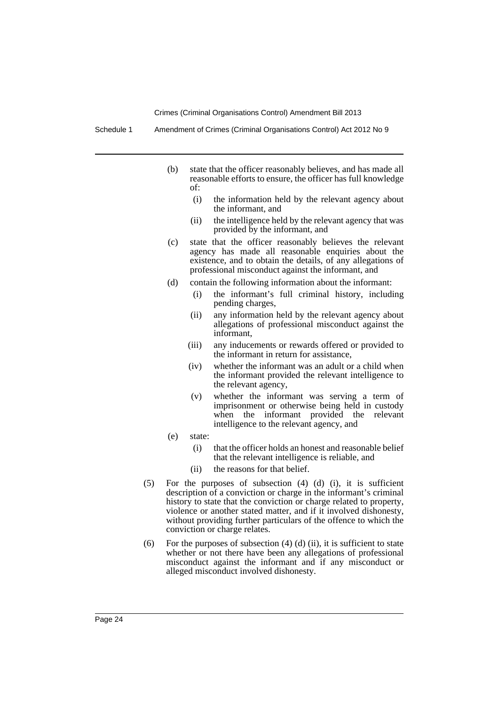Schedule 1 Amendment of Crimes (Criminal Organisations Control) Act 2012 No 9

- (b) state that the officer reasonably believes, and has made all reasonable efforts to ensure, the officer has full knowledge of:
	- (i) the information held by the relevant agency about the informant, and
	- (ii) the intelligence held by the relevant agency that was provided by the informant, and
- (c) state that the officer reasonably believes the relevant agency has made all reasonable enquiries about the existence, and to obtain the details, of any allegations of professional misconduct against the informant, and
- (d) contain the following information about the informant:
	- (i) the informant's full criminal history, including pending charges,
	- (ii) any information held by the relevant agency about allegations of professional misconduct against the informant,
	- (iii) any inducements or rewards offered or provided to the informant in return for assistance,
	- (iv) whether the informant was an adult or a child when the informant provided the relevant intelligence to the relevant agency,
	- (v) whether the informant was serving a term of imprisonment or otherwise being held in custody when the informant provided the relevant intelligence to the relevant agency, and
- (e) state:
	- (i) that the officer holds an honest and reasonable belief that the relevant intelligence is reliable, and
	- (ii) the reasons for that belief.
- (5) For the purposes of subsection (4) (d) (i), it is sufficient description of a conviction or charge in the informant's criminal history to state that the conviction or charge related to property, violence or another stated matter, and if it involved dishonesty, without providing further particulars of the offence to which the conviction or charge relates.
- (6) For the purposes of subsection  $(4)$   $(d)$   $(ii)$ , it is sufficient to state whether or not there have been any allegations of professional misconduct against the informant and if any misconduct or alleged misconduct involved dishonesty.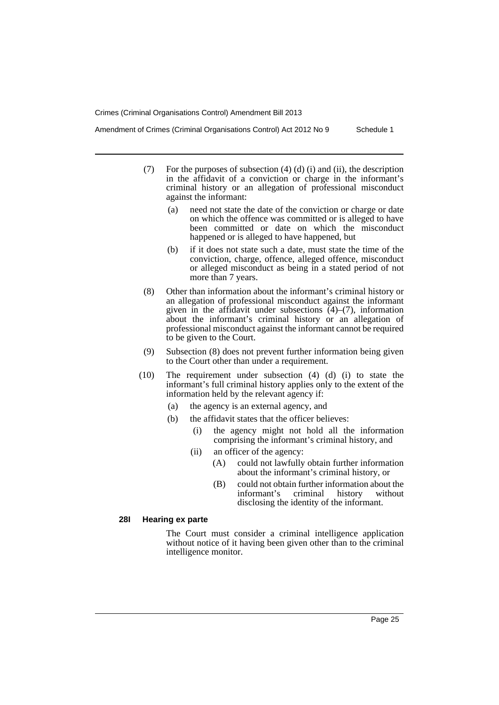Amendment of Crimes (Criminal Organisations Control) Act 2012 No 9 Schedule 1

- (7) For the purposes of subsection  $(4)$   $(d)$   $(i)$  and  $(ii)$ , the description in the affidavit of a conviction or charge in the informant's criminal history or an allegation of professional misconduct against the informant:
	- (a) need not state the date of the conviction or charge or date on which the offence was committed or is alleged to have been committed or date on which the misconduct happened or is alleged to have happened, but
	- (b) if it does not state such a date, must state the time of the conviction, charge, offence, alleged offence, misconduct or alleged misconduct as being in a stated period of not more than 7 years.
- (8) Other than information about the informant's criminal history or an allegation of professional misconduct against the informant given in the affidavit under subsections  $(4)$ – $(7)$ , information about the informant's criminal history or an allegation of professional misconduct against the informant cannot be required to be given to the Court.
- (9) Subsection (8) does not prevent further information being given to the Court other than under a requirement.
- (10) The requirement under subsection (4) (d) (i) to state the informant's full criminal history applies only to the extent of the information held by the relevant agency if:
	- (a) the agency is an external agency, and
	- (b) the affidavit states that the officer believes:
		- (i) the agency might not hold all the information comprising the informant's criminal history, and
		- (ii) an officer of the agency:
			- (A) could not lawfully obtain further information about the informant's criminal history, or
			- (B) could not obtain further information about the informant's criminal history without disclosing the identity of the informant.

## **28I Hearing ex parte**

The Court must consider a criminal intelligence application without notice of it having been given other than to the criminal intelligence monitor.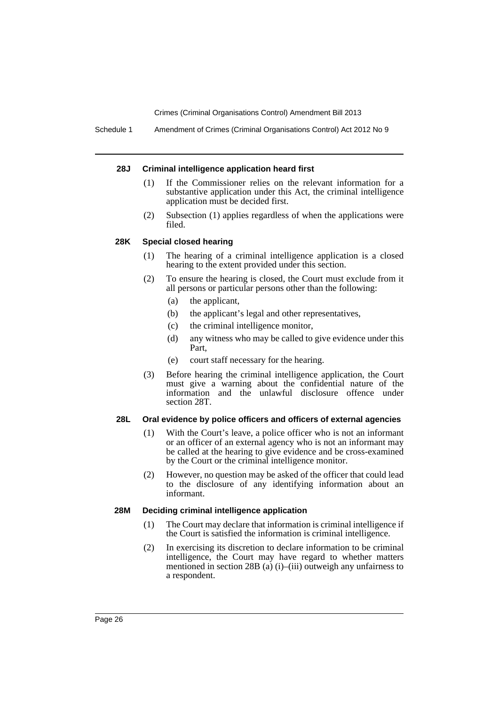Schedule 1 Amendment of Crimes (Criminal Organisations Control) Act 2012 No 9

#### **28J Criminal intelligence application heard first**

- (1) If the Commissioner relies on the relevant information for a substantive application under this Act, the criminal intelligence application must be decided first.
- (2) Subsection (1) applies regardless of when the applications were filed.

#### **28K Special closed hearing**

- (1) The hearing of a criminal intelligence application is a closed hearing to the extent provided under this section.
- (2) To ensure the hearing is closed, the Court must exclude from it all persons or particular persons other than the following:
	- (a) the applicant,
	- (b) the applicant's legal and other representatives,
	- (c) the criminal intelligence monitor,
	- (d) any witness who may be called to give evidence under this Part,
	- (e) court staff necessary for the hearing.
- (3) Before hearing the criminal intelligence application, the Court must give a warning about the confidential nature of the information and the unlawful disclosure offence under section 28T.

## **28L Oral evidence by police officers and officers of external agencies**

- (1) With the Court's leave, a police officer who is not an informant or an officer of an external agency who is not an informant may be called at the hearing to give evidence and be cross-examined by the Court or the criminal intelligence monitor.
- (2) However, no question may be asked of the officer that could lead to the disclosure of any identifying information about an informant.

#### **28M Deciding criminal intelligence application**

- (1) The Court may declare that information is criminal intelligence if the Court is satisfied the information is criminal intelligence.
- (2) In exercising its discretion to declare information to be criminal intelligence, the Court may have regard to whether matters mentioned in section 28B (a) (i)–(iii) outweigh any unfairness to a respondent.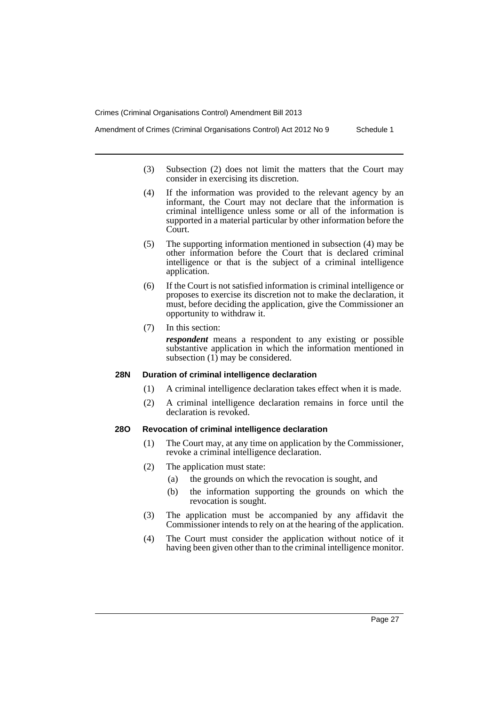Amendment of Crimes (Criminal Organisations Control) Act 2012 No 9 Schedule 1

- (3) Subsection (2) does not limit the matters that the Court may consider in exercising its discretion.
- (4) If the information was provided to the relevant agency by an informant, the Court may not declare that the information is criminal intelligence unless some or all of the information is supported in a material particular by other information before the Court.
- (5) The supporting information mentioned in subsection (4) may be other information before the Court that is declared criminal intelligence or that is the subject of a criminal intelligence application.
- (6) If the Court is not satisfied information is criminal intelligence or proposes to exercise its discretion not to make the declaration, it must, before deciding the application, give the Commissioner an opportunity to withdraw it.
- (7) In this section:

*respondent* means a respondent to any existing or possible substantive application in which the information mentioned in subsection  $(1)$  may be considered.

## **28N Duration of criminal intelligence declaration**

- (1) A criminal intelligence declaration takes effect when it is made.
- (2) A criminal intelligence declaration remains in force until the declaration is revoked.

## **28O Revocation of criminal intelligence declaration**

- (1) The Court may, at any time on application by the Commissioner, revoke a criminal intelligence declaration.
- (2) The application must state:
	- (a) the grounds on which the revocation is sought, and
	- (b) the information supporting the grounds on which the revocation is sought.
- (3) The application must be accompanied by any affidavit the Commissioner intends to rely on at the hearing of the application.
- (4) The Court must consider the application without notice of it having been given other than to the criminal intelligence monitor.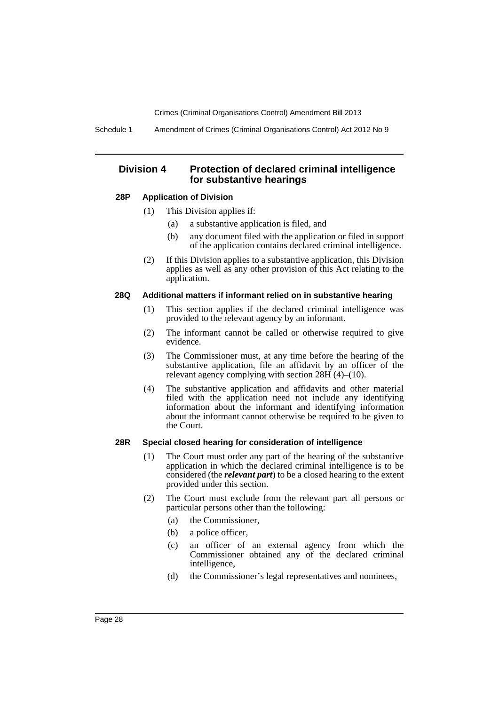Schedule 1 Amendment of Crimes (Criminal Organisations Control) Act 2012 No 9

## **Division 4 Protection of declared criminal intelligence for substantive hearings**

#### **28P Application of Division**

- (1) This Division applies if:
	- (a) a substantive application is filed, and
	- (b) any document filed with the application or filed in support of the application contains declared criminal intelligence.
- (2) If this Division applies to a substantive application, this Division applies as well as any other provision of this Act relating to the application.

#### **28Q Additional matters if informant relied on in substantive hearing**

- (1) This section applies if the declared criminal intelligence was provided to the relevant agency by an informant.
- (2) The informant cannot be called or otherwise required to give evidence.
- (3) The Commissioner must, at any time before the hearing of the substantive application, file an affidavit by an officer of the relevant agency complying with section  $28\text{H}$  (4)–(10).
- (4) The substantive application and affidavits and other material filed with the application need not include any identifying information about the informant and identifying information about the informant cannot otherwise be required to be given to the Court.

#### **28R Special closed hearing for consideration of intelligence**

- (1) The Court must order any part of the hearing of the substantive application in which the declared criminal intelligence is to be considered (the *relevant part*) to be a closed hearing to the extent provided under this section.
- (2) The Court must exclude from the relevant part all persons or particular persons other than the following:
	- (a) the Commissioner,
	- (b) a police officer,
	- (c) an officer of an external agency from which the Commissioner obtained any of the declared criminal intelligence,
	- (d) the Commissioner's legal representatives and nominees,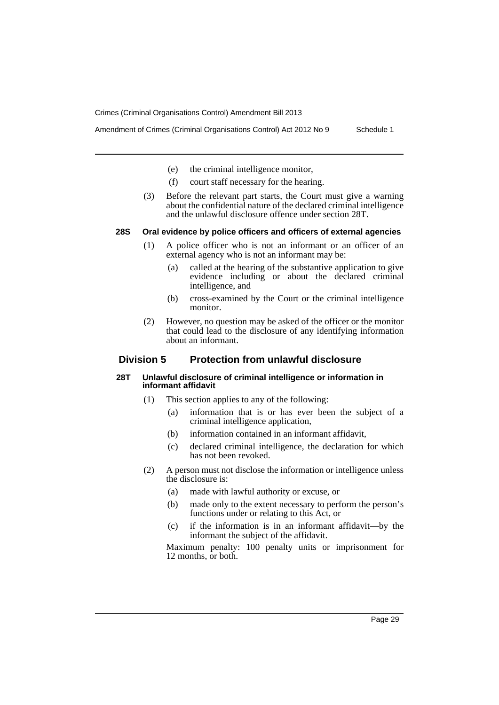- Amendment of Crimes (Criminal Organisations Control) Act 2012 No 9 Schedule 1
	- (e) the criminal intelligence monitor,
	- (f) court staff necessary for the hearing.
	- (3) Before the relevant part starts, the Court must give a warning about the confidential nature of the declared criminal intelligence and the unlawful disclosure offence under section 28T.

#### **28S Oral evidence by police officers and officers of external agencies**

- (1) A police officer who is not an informant or an officer of an external agency who is not an informant may be:
	- (a) called at the hearing of the substantive application to give evidence including or about the declared criminal intelligence, and
	- (b) cross-examined by the Court or the criminal intelligence monitor.
- (2) However, no question may be asked of the officer or the monitor that could lead to the disclosure of any identifying information about an informant.

## **Division 5 Protection from unlawful disclosure**

#### **28T Unlawful disclosure of criminal intelligence or information in informant affidavit**

- (1) This section applies to any of the following:
	- (a) information that is or has ever been the subject of a criminal intelligence application,
	- (b) information contained in an informant affidavit,
	- (c) declared criminal intelligence, the declaration for which has not been revoked.
- (2) A person must not disclose the information or intelligence unless the disclosure is:
	- (a) made with lawful authority or excuse, or
	- (b) made only to the extent necessary to perform the person's functions under or relating to this Act, or
	- (c) if the information is in an informant affidavit—by the informant the subject of the affidavit.

Maximum penalty: 100 penalty units or imprisonment for 12 months, or both.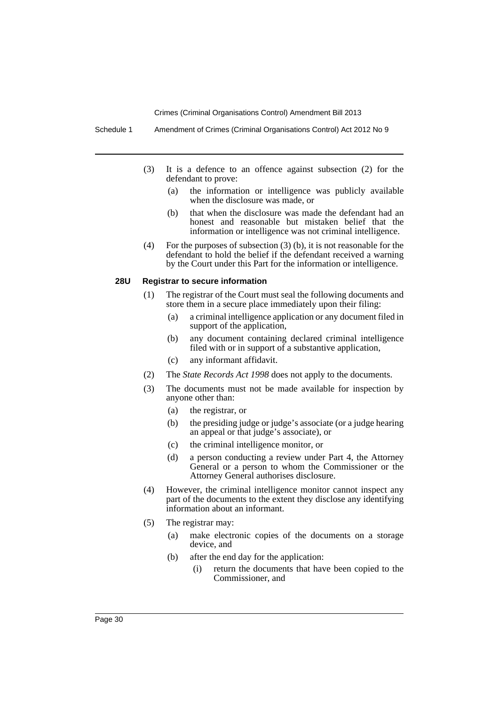Schedule 1 Amendment of Crimes (Criminal Organisations Control) Act 2012 No 9

- (3) It is a defence to an offence against subsection (2) for the defendant to prove:
	- (a) the information or intelligence was publicly available when the disclosure was made, or
	- (b) that when the disclosure was made the defendant had an honest and reasonable but mistaken belief that the information or intelligence was not criminal intelligence.
- (4) For the purposes of subsection (3) (b), it is not reasonable for the defendant to hold the belief if the defendant received a warning by the Court under this Part for the information or intelligence.

## **28U Registrar to secure information**

- (1) The registrar of the Court must seal the following documents and store them in a secure place immediately upon their filing:
	- (a) a criminal intelligence application or any document filed in support of the application,
	- (b) any document containing declared criminal intelligence filed with or in support of a substantive application,
	- (c) any informant affidavit.
- (2) The *State Records Act 1998* does not apply to the documents.
- (3) The documents must not be made available for inspection by anyone other than:
	- (a) the registrar, or
	- (b) the presiding judge or judge's associate (or a judge hearing an appeal or that judge's associate), or
	- (c) the criminal intelligence monitor, or
	- (d) a person conducting a review under Part 4, the Attorney General or a person to whom the Commissioner or the Attorney General authorises disclosure.
- (4) However, the criminal intelligence monitor cannot inspect any part of the documents to the extent they disclose any identifying information about an informant.
- (5) The registrar may:
	- (a) make electronic copies of the documents on a storage device, and
	- (b) after the end day for the application:
		- (i) return the documents that have been copied to the Commissioner, and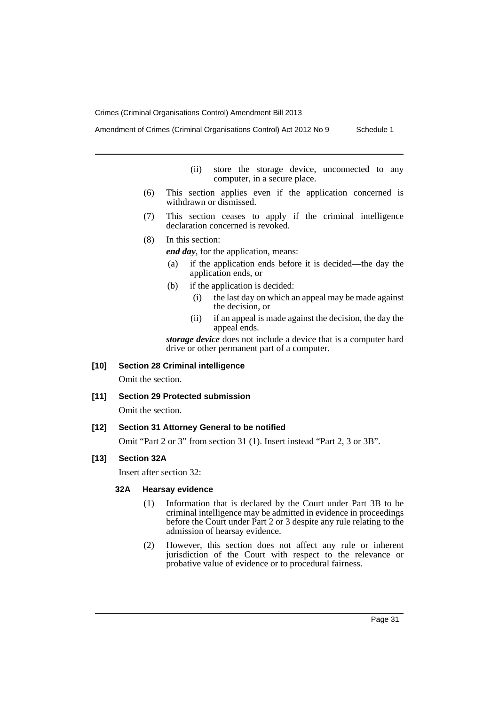Amendment of Crimes (Criminal Organisations Control) Act 2012 No 9 Schedule 1

(ii) store the storage device, unconnected to any

(6) This section applies even if the application concerned is withdrawn or dismissed.

computer, in a secure place.

- (7) This section ceases to apply if the criminal intelligence declaration concerned is revoked.
- (8) In this section:

*end day*, for the application, means:

- (a) if the application ends before it is decided—the day the application ends, or
- (b) if the application is decided:
	- (i) the last day on which an appeal may be made against the decision, or
	- (ii) if an appeal is made against the decision, the day the appeal ends.

*storage device* does not include a device that is a computer hard drive or other permanent part of a computer.

## **[10] Section 28 Criminal intelligence**

Omit the section.

## **[11] Section 29 Protected submission**

Omit the section.

#### **[12] Section 31 Attorney General to be notified**

Omit "Part 2 or 3" from section 31 (1). Insert instead "Part 2, 3 or 3B".

### **[13] Section 32A**

Insert after section 32:

#### **32A Hearsay evidence**

- (1) Information that is declared by the Court under Part 3B to be criminal intelligence may be admitted in evidence in proceedings before the Court under Part 2 or 3 despite any rule relating to the admission of hearsay evidence.
- (2) However, this section does not affect any rule or inherent jurisdiction of the Court with respect to the relevance or probative value of evidence or to procedural fairness.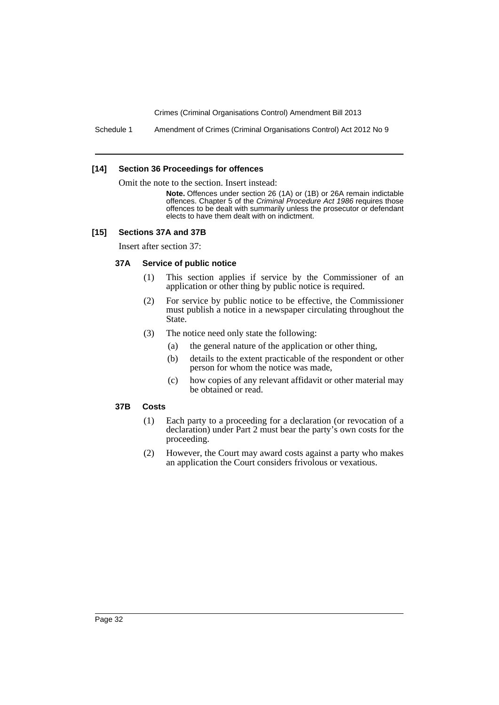Schedule 1 Amendment of Crimes (Criminal Organisations Control) Act 2012 No 9

#### **[14] Section 36 Proceedings for offences**

Omit the note to the section. Insert instead:

**Note.** Offences under section 26 (1A) or (1B) or 26A remain indictable offences. Chapter 5 of the *Criminal Procedure Act 1986* requires those offences to be dealt with summarily unless the prosecutor or defendant elects to have them dealt with on indictment.

#### **[15] Sections 37A and 37B**

Insert after section 37:

### **37A Service of public notice**

- (1) This section applies if service by the Commissioner of an application or other thing by public notice is required.
- (2) For service by public notice to be effective, the Commissioner must publish a notice in a newspaper circulating throughout the State.
- (3) The notice need only state the following:
	- (a) the general nature of the application or other thing,
	- (b) details to the extent practicable of the respondent or other person for whom the notice was made,
	- (c) how copies of any relevant affidavit or other material may be obtained or read.

#### **37B Costs**

- (1) Each party to a proceeding for a declaration (or revocation of a declaration) under Part 2 must bear the party's own costs for the proceeding.
- (2) However, the Court may award costs against a party who makes an application the Court considers frivolous or vexatious.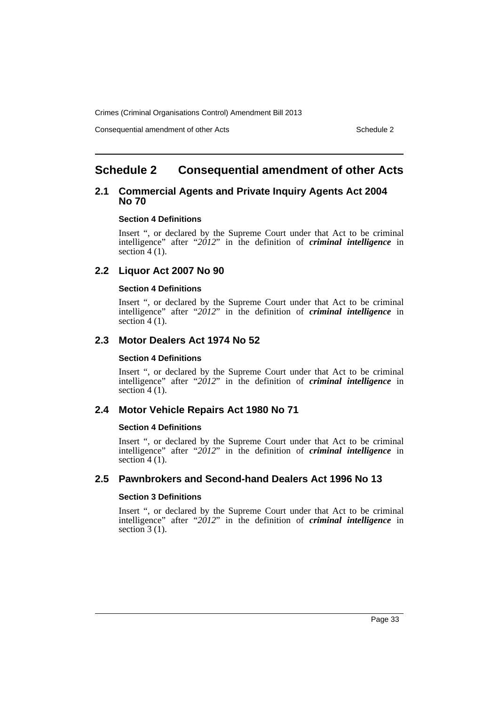Consequential amendment of other Acts **Schedule 2** Schedule 2

# <span id="page-34-0"></span>**Schedule 2 Consequential amendment of other Acts**

## **2.1 Commercial Agents and Private Inquiry Agents Act 2004 No 70**

#### **Section 4 Definitions**

Insert ", or declared by the Supreme Court under that Act to be criminal intelligence" after "*2012*" in the definition of *criminal intelligence* in section  $4(1)$ .

## **2.2 Liquor Act 2007 No 90**

## **Section 4 Definitions**

Insert ", or declared by the Supreme Court under that Act to be criminal intelligence" after "*2012*" in the definition of *criminal intelligence* in section  $4(1)$ .

## **2.3 Motor Dealers Act 1974 No 52**

#### **Section 4 Definitions**

Insert ", or declared by the Supreme Court under that Act to be criminal intelligence" after "2012" in the definition of *criminal intelligence* in section  $4(1)$ .

## **2.4 Motor Vehicle Repairs Act 1980 No 71**

#### **Section 4 Definitions**

Insert ", or declared by the Supreme Court under that Act to be criminal intelligence" after "*2012*" in the definition of *criminal intelligence* in section  $4(1)$ .

## **2.5 Pawnbrokers and Second-hand Dealers Act 1996 No 13**

#### **Section 3 Definitions**

Insert ", or declared by the Supreme Court under that Act to be criminal intelligence" after "*2012*" in the definition of *criminal intelligence* in section  $3(1)$ .